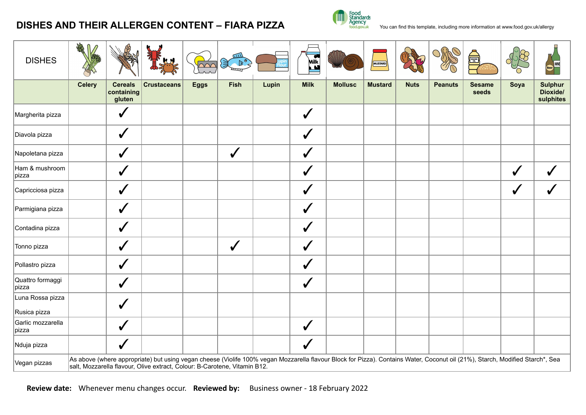## **DISHES AND THEIR ALLERGEN CONTENT – FIARA PIZZA** The standards and this template, including more information at [www.food.gov.uk/allergy](http://www.food.gov.uk/allergy)



| <b>DISHES</b>                    |                                                                                                                                                                                                                                                            |                                        |                    | $\overline{\triangle\triangle\triangle}$ | mл<br>€<br>$\mathbb{B}^2$ |       | Milk         |                | MUSTARD        |             |                | SESAME <b>S</b>        |      |                                         |
|----------------------------------|------------------------------------------------------------------------------------------------------------------------------------------------------------------------------------------------------------------------------------------------------------|----------------------------------------|--------------------|------------------------------------------|---------------------------|-------|--------------|----------------|----------------|-------------|----------------|------------------------|------|-----------------------------------------|
|                                  | <b>Celery</b>                                                                                                                                                                                                                                              | <b>Cereals</b><br>containing<br>gluten | <b>Crustaceans</b> | <b>Eggs</b>                              | <b>Fish</b>               | Lupin | <b>Milk</b>  | <b>Mollusc</b> | <b>Mustard</b> | <b>Nuts</b> | <b>Peanuts</b> | <b>Sesame</b><br>seeds | Soya | <b>Sulphur</b><br>Dioxide/<br>sulphites |
| Margherita pizza                 |                                                                                                                                                                                                                                                            | $\checkmark$                           |                    |                                          |                           |       | $\checkmark$ |                |                |             |                |                        |      |                                         |
| Diavola pizza                    |                                                                                                                                                                                                                                                            | $\checkmark$                           |                    |                                          |                           |       | $\checkmark$ |                |                |             |                |                        |      |                                         |
| Napoletana pizza                 |                                                                                                                                                                                                                                                            | $\checkmark$                           |                    |                                          | $\checkmark$              |       | ✔            |                |                |             |                |                        |      |                                         |
| Ham & mushroom<br>pizza          |                                                                                                                                                                                                                                                            | $\checkmark$                           |                    |                                          |                           |       | $\checkmark$ |                |                |             |                |                        | ✔    |                                         |
| Capricciosa pizza                |                                                                                                                                                                                                                                                            | $\checkmark$                           |                    |                                          |                           |       | $\checkmark$ |                |                |             |                |                        | ✔    |                                         |
| Parmigiana pizza                 |                                                                                                                                                                                                                                                            | $\checkmark$                           |                    |                                          |                           |       | $\checkmark$ |                |                |             |                |                        |      |                                         |
| Contadina pizza                  |                                                                                                                                                                                                                                                            | $\checkmark$                           |                    |                                          |                           |       | $\checkmark$ |                |                |             |                |                        |      |                                         |
| Tonno pizza                      |                                                                                                                                                                                                                                                            | $\checkmark$                           |                    |                                          | $\checkmark$              |       | $\checkmark$ |                |                |             |                |                        |      |                                         |
| Pollastro pizza                  |                                                                                                                                                                                                                                                            | $\checkmark$                           |                    |                                          |                           |       | ✔            |                |                |             |                |                        |      |                                         |
| Quattro formaggi<br>pizza        |                                                                                                                                                                                                                                                            | $\checkmark$                           |                    |                                          |                           |       | $\checkmark$ |                |                |             |                |                        |      |                                         |
| Luna Rossa pizza<br>Rusica pizza |                                                                                                                                                                                                                                                            | $\checkmark$                           |                    |                                          |                           |       |              |                |                |             |                |                        |      |                                         |
| Garlic mozzarella<br>pizza       |                                                                                                                                                                                                                                                            | $\checkmark$                           |                    |                                          |                           |       | $\checkmark$ |                |                |             |                |                        |      |                                         |
| Nduja pizza                      |                                                                                                                                                                                                                                                            | $\checkmark$                           |                    |                                          |                           |       | $\checkmark$ |                |                |             |                |                        |      |                                         |
| Vegan pizzas                     | As above (where appropriate) but using vegan cheese (Violife 100% vegan Mozzarella flavour Block for Pizza). Contains Water, Coconut oil (21%), Starch, Modified Starch*, Sea<br>salt, Mozzarella flavour, Olive extract, Colour: B-Carotene, Vitamin B12. |                                        |                    |                                          |                           |       |              |                |                |             |                |                        |      |                                         |